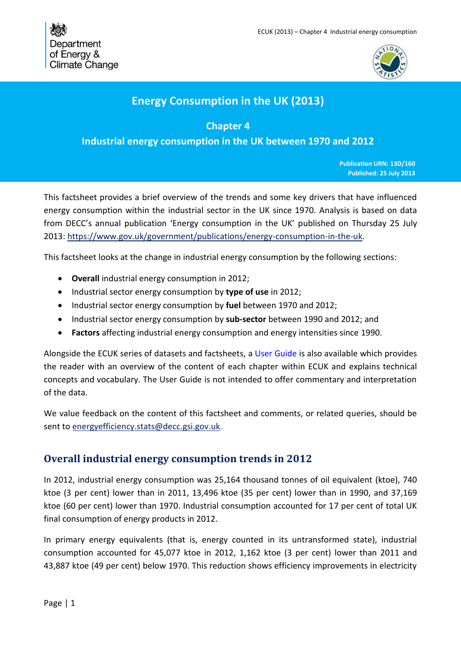

# **Energy Consumption in the UK (2013)**

**Chapter 4**

**Industrial energy consumption in the UK between 1970 and 2012**

**Publication URN: 13D/160 Published: 25 July 2013** 

This factsheet provides a brief overview of the trends and some key drivers that have influenced energy consumption within the industrial sector in the UK since 1970. Analysis is based on data from DECC's annual publication 'Energy consumption in the UK' published on Thursday 25 July 2013: [https://www.gov.uk/government/publications/energy-consumption-in-the-uk.](https://www.gov.uk/government/publications/energy-consumption-in-the-uk)

This factsheet looks at the change in industrial energy consumption by the following sections:

- **Overall** [industrial energy consumption in 2012;](#page-0-0)
- [Industrial sector energy consumption by](#page-1-0) **type of use** in 2012;
- [Industrial sector energy consumption by](#page-2-0) **fuel** between 1970 and 2012;
- [Industrial sector energy consumption by](#page-3-0) **sub-sector** between 1990 and 2012; and
- **Factors** [affecting industrial energy consumption and energy intensities since 1990.](#page-4-0)

Alongside the ECUK series of datasets and factsheets, a [User Guide](https://www.gov.uk/government/organisations/department-of-energy-climate-change/series/energy-consumption-in-the-uk) is also available which provides the reader with an overview of the content of each chapter within ECUK and explains technical concepts and vocabulary. The User Guide is not intended to offer commentary and interpretation of the data.

We value feedback on the content of this factsheet and comments, or related queries, should be sent to [energyefficiency.stats@decc.gsi.gov.uk.](mailto:energyefficiency.stats@decc.gsi.gov.uk)

## <span id="page-0-0"></span>**Overall industrial energy consumption trends in 2012**

In 2012, industrial energy consumption was 25,164 thousand tonnes of oil equivalent (ktoe), 740 ktoe (3 per cent) lower than in 2011, 13,496 ktoe (35 per cent) lower than in 1990, and 37,169 ktoe (60 per cent) lower than 1970. Industrial consumption accounted for 17 per cent of total UK final consumption of energy products in 2012.

In primary energy equivalents (that is, energy counted in its untransformed state), industrial consumption accounted for 45,077 ktoe in 2012, 1,162 ktoe (3 per cent) lower than 2011 and 43,887 ktoe (49 per cent) below 1970. This reduction shows efficiency improvements in electricity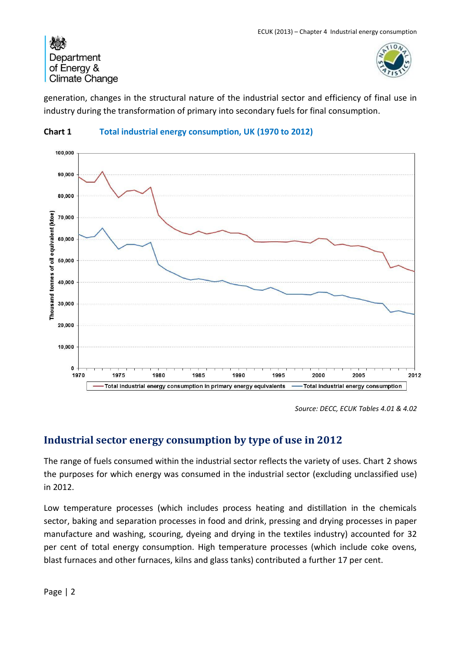

generation, changes in the structural nature of the industrial sector and efficiency of final use in industry during the transformation of primary into secondary fuels for final consumption.



### **Chart 1 Total industrial energy consumption, UK (1970 to 2012)**

*Source: DECC, ECUK Tables 4.01 & 4.02*

# <span id="page-1-0"></span>**Industrial sector energy consumption by type of use in 2012**

The range of fuels consumed within the industrial sector reflects the variety of uses. Chart 2 shows the purposes for which energy was consumed in the industrial sector (excluding unclassified use) in 2012.

Low temperature processes (which includes process heating and distillation in the chemicals sector, baking and separation processes in food and drink, pressing and drying processes in paper manufacture and washing, scouring, dyeing and drying in the textiles industry) accounted for 32 per cent of total energy consumption. High temperature processes (which include coke ovens, blast furnaces and other furnaces, kilns and glass tanks) contributed a further 17 per cent.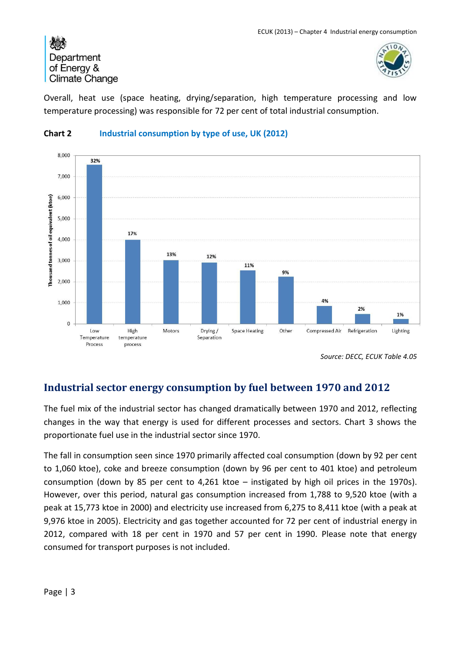

Overall, heat use (space heating, drying/separation, high temperature processing and low temperature processing) was responsible for 72 per cent of total industrial consumption.



## **Chart 2 Industrial consumption by type of use, UK (2012)**

*Source: DECC, ECUK Table 4.05*

# <span id="page-2-0"></span>**Industrial sector energy consumption by fuel between 1970 and 2012**

The fuel mix of the industrial sector has changed dramatically between 1970 and 2012, reflecting changes in the way that energy is used for different processes and sectors. Chart 3 shows the proportionate fuel use in the industrial sector since 1970.

The fall in consumption seen since 1970 primarily affected coal consumption (down by 92 per cent to 1,060 ktoe), coke and breeze consumption (down by 96 per cent to 401 ktoe) and petroleum consumption (down by 85 per cent to 4,261 ktoe – instigated by high oil prices in the 1970s). However, over this period, natural gas consumption increased from 1,788 to 9,520 ktoe (with a peak at 15,773 ktoe in 2000) and electricity use increased from 6,275 to 8,411 ktoe (with a peak at 9,976 ktoe in 2005). Electricity and gas together accounted for 72 per cent of industrial energy in 2012, compared with 18 per cent in 1970 and 57 per cent in 1990. Please note that energy consumed for transport purposes is not included.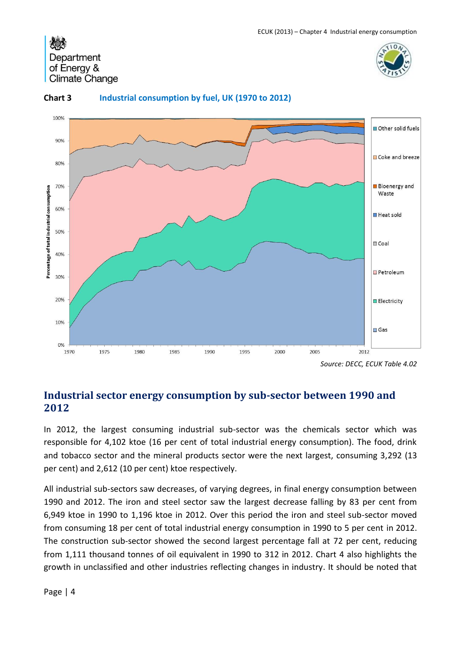



#### **Chart 3 Industrial consumption by fuel, UK (1970 to 2012)**

*Source: DECC, ECUK Table 4.02*

## <span id="page-3-0"></span>**Industrial sector energy consumption by sub-sector between 1990 and 2012**

In 2012, the largest consuming industrial sub-sector was the chemicals sector which was responsible for 4,102 ktoe (16 per cent of total industrial energy consumption). The food, drink and tobacco sector and the mineral products sector were the next largest, consuming 3,292 (13 per cent) and 2,612 (10 per cent) ktoe respectively.

All industrial sub-sectors saw decreases, of varying degrees, in final energy consumption between 1990 and 2012. The iron and steel sector saw the largest decrease falling by 83 per cent from 6,949 ktoe in 1990 to 1,196 ktoe in 2012. Over this period the iron and steel sub-sector moved from consuming 18 per cent of total industrial energy consumption in 1990 to 5 per cent in 2012. The construction sub-sector showed the second largest percentage fall at 72 per cent, reducing from 1,111 thousand tonnes of oil equivalent in 1990 to 312 in 2012. Chart 4 also highlights the growth in unclassified and other industries reflecting changes in industry. It should be noted that

Page | 4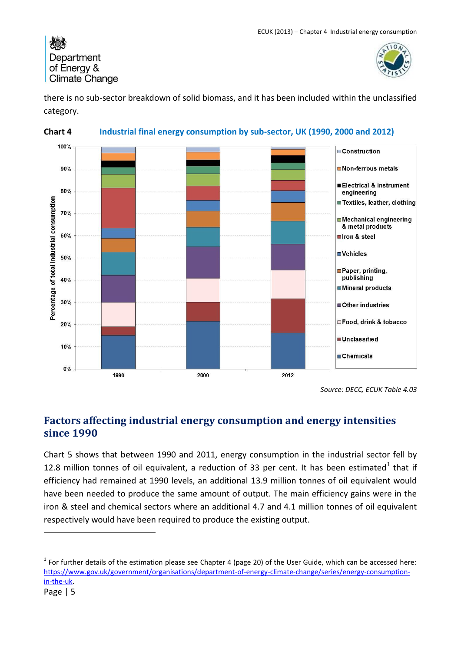

there is no sub-sector breakdown of solid biomass, and it has been included within the unclassified category.



#### **Chart 4 Industrial final energy consumption by sub-sector, UK (1990, 2000 and 2012)**

*Source: DECC, ECUK Table 4.03*

# <span id="page-4-0"></span>**Factors affecting industrial energy consumption and energy intensities since 1990**

Chart 5 shows that between 1990 and 2011, energy consumption in the industrial sector fell by 12.8 million tonnes of oil equivalent, a reduction of 33 per cent. It has been estimated<sup>1</sup> that if efficiency had remained at 1990 levels, an additional 13.9 million tonnes of oil equivalent would have been needed to produce the same amount of output. The main efficiency gains were in the iron & steel and chemical sectors where an additional 4.7 and 4.1 million tonnes of oil equivalent respectively would have been required to produce the existing output.

-

 $1$  For further details of the estimation please see Chapter 4 (page 20) of the User Guide, which can be accessed here: [https://www.gov.uk/government/organisations/department-of-energy-climate-change/series/energy-consumption](https://www.gov.uk/government/organisations/department-of-energy-climate-change/series/energy-consumption-in-the-uk)[in-the-uk.](https://www.gov.uk/government/organisations/department-of-energy-climate-change/series/energy-consumption-in-the-uk)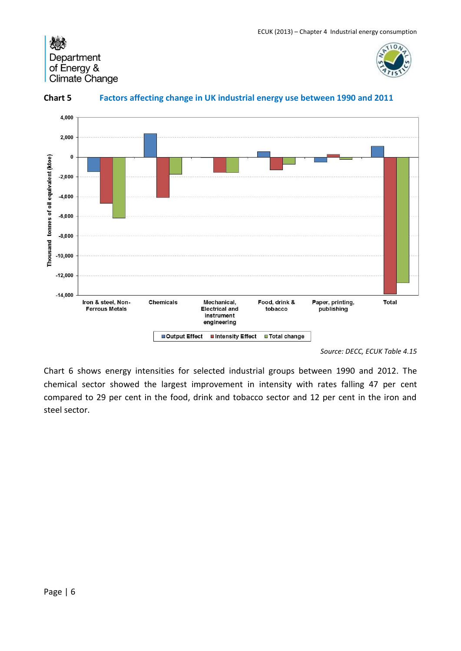





## **Chart 5 Factors affecting change in UK industrial energy use between 1990 and 2011**

*Source: DECC, ECUK Table 4.15*

Chart 6 shows energy intensities for selected industrial groups between 1990 and 2012. The chemical sector showed the largest improvement in intensity with rates falling 47 per cent compared to 29 per cent in the food, drink and tobacco sector and 12 per cent in the iron and steel sector.